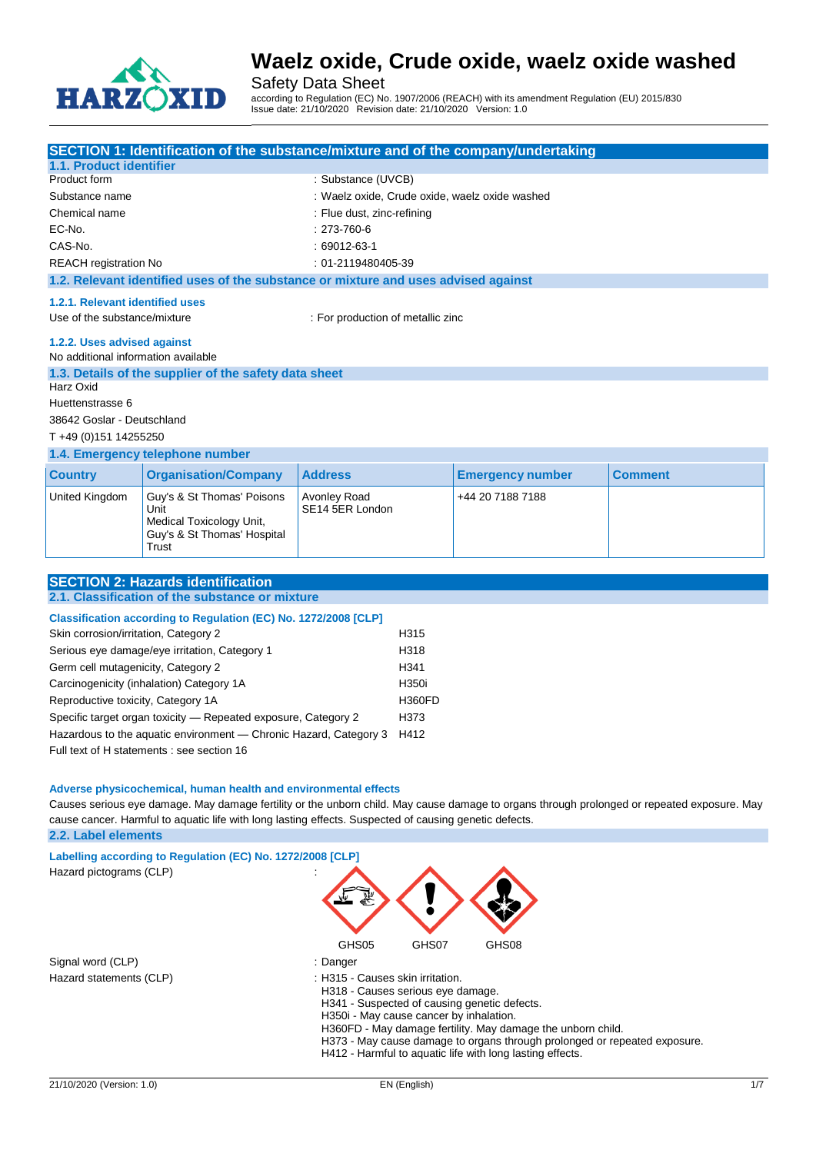

Safety Data Sheet

according to Regulation (EC) No. 1907/2006 (REACH) with its amendment Regulation (EU) 2015/830 Issue date: 21/10/2020 Revision date: 21/10/2020 Version: 1.0

|                                     | <b>SECTION 1: Identification of the substance/mixture and of the company/undertaking</b> |                                 |                         |                |  |
|-------------------------------------|------------------------------------------------------------------------------------------|---------------------------------|-------------------------|----------------|--|
| 1.1. Product identifier             |                                                                                          |                                 |                         |                |  |
| Product form                        | : Substance (UVCB)                                                                       |                                 |                         |                |  |
| Substance name                      | : Waelz oxide, Crude oxide, waelz oxide washed                                           |                                 |                         |                |  |
| Chemical name                       |                                                                                          | : Flue dust, zinc-refining      |                         |                |  |
| EC-No.                              |                                                                                          | $: 273 - 760 - 6$               |                         |                |  |
| CAS-No.                             |                                                                                          | $:69012-63-1$                   |                         |                |  |
| <b>REACH</b> registration No        |                                                                                          | $: 01 - 2119480405 - 39$        |                         |                |  |
|                                     | 1.2. Relevant identified uses of the substance or mixture and uses advised against       |                                 |                         |                |  |
| 1.2.1. Relevant identified uses     |                                                                                          |                                 |                         |                |  |
|                                     | Use of the substance/mixture<br>: For production of metallic zinc                        |                                 |                         |                |  |
|                                     | 1.2.2. Uses advised against                                                              |                                 |                         |                |  |
| No additional information available |                                                                                          |                                 |                         |                |  |
|                                     | 1.3. Details of the supplier of the safety data sheet                                    |                                 |                         |                |  |
| Harz Oxid                           |                                                                                          |                                 |                         |                |  |
| Huettenstrasse 6                    |                                                                                          |                                 |                         |                |  |
| 38642 Goslar - Deutschland          |                                                                                          |                                 |                         |                |  |
| T +49 (0)151 14255250               |                                                                                          |                                 |                         |                |  |
| 1.4. Emergency telephone number     |                                                                                          |                                 |                         |                |  |
| <b>Country</b>                      | <b>Organisation/Company</b>                                                              | <b>Address</b>                  | <b>Emergency number</b> | <b>Comment</b> |  |
| United Kingdom                      | Guy's & St Thomas' Poisons<br>Unit<br>Medical Toxicology Unit,                           | Avonley Road<br>SE14 5ER London | +44 20 7188 7188        |                |  |

| <b>SECTION 2: Hazards identification</b>                          |                  |
|-------------------------------------------------------------------|------------------|
| 2.1. Classification of the substance or mixture                   |                  |
| Classification according to Regulation (EC) No. 1272/2008 [CLP]   |                  |
| Skin corrosion/irritation, Category 2                             | H315             |
| Serious eye damage/eye irritation, Category 1                     | H318             |
| Germ cell mutagenicity, Category 2                                | H <sub>341</sub> |
| Carcinogenicity (inhalation) Category 1A                          | H350i            |
| Reproductive toxicity, Category 1A                                | <b>H360FD</b>    |
| Specific target organ toxicity – Repeated exposure, Category 2    | H373             |
| Hazardous to the aquatic environment - Chronic Hazard, Category 3 | H412             |
| Full text of H statements : see section 16                        |                  |

#### **Adverse physicochemical, human health and environmental effects**

Guy's & St Thomas' Hospital

**Trust** 

Causes serious eye damage. May damage fertility or the unborn child. May cause damage to organs through prolonged or repeated exposure. May cause cancer. Harmful to aquatic life with long lasting effects. Suspected of causing genetic defects. **2.2. Label elements**

**Labelling according to Regulation (EC) No. 1272/2008 [CLP** Hazard pictograms (CLP) : GHS05 GHS07 GHS08 Signal word (CLP)  $\qquad \qquad$ : Danger Hazard statements (CLP)  $\qquad \qquad$ : H315 - Causes skin irritation. H318 - Causes serious eye damage. H341 - Suspected of causing genetic defects. H350i - May cause cancer by inhalation. H360FD - May damage fertility. May damage the unborn child. H373 - May cause damage to organs through prolonged or repeated exposure. H412 - Harmful to aquatic life with long lasting effects.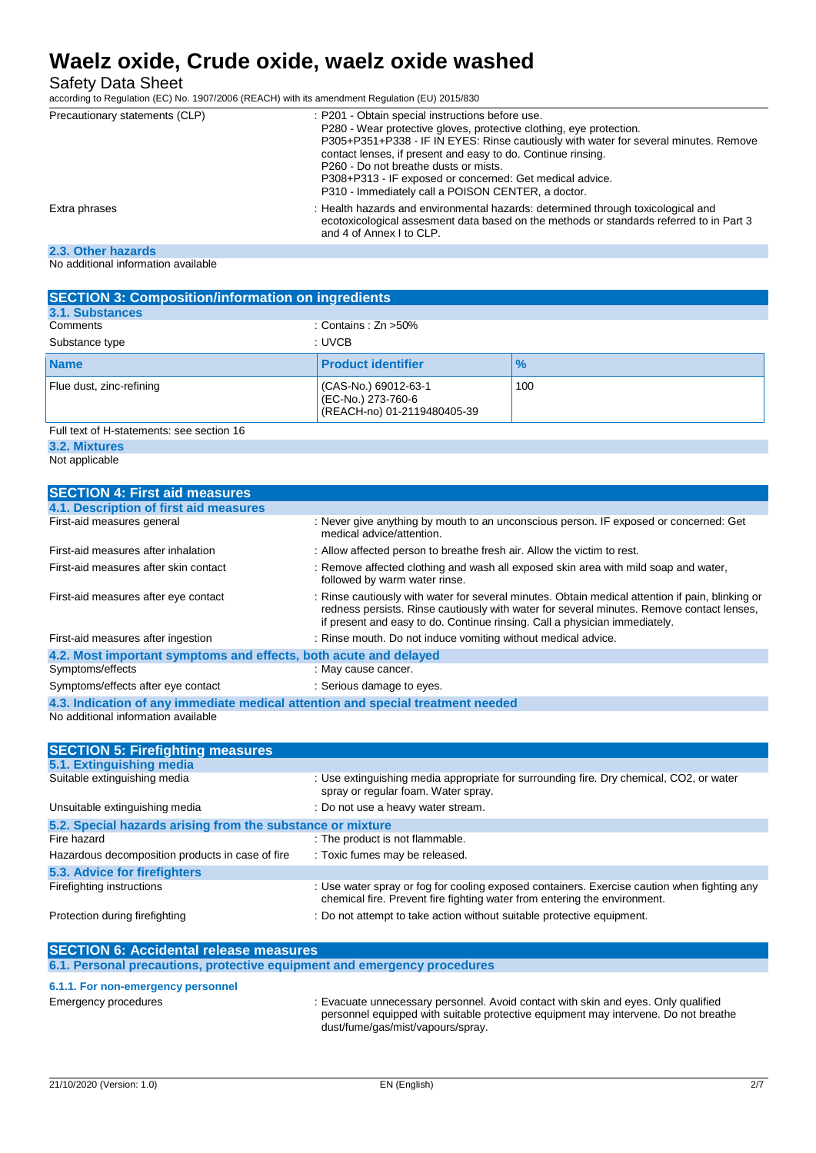Safety Data Sheet

according to Regulation (EC) No. 1907/2006 (REACH) with its amendment Regulation (EU) 2015/830

| Precautionary statements (CLP) | : P201 - Obtain special instructions before use.<br>P280 - Wear protective gloves, protective clothing, eye protection.<br>P305+P351+P338 - IF IN EYES: Rinse cautiously with water for several minutes. Remove<br>contact lenses, if present and easy to do. Continue rinsing.<br>P <sub>260</sub> - Do not breathe dusts or mists.<br>P308+P313 - IF exposed or concerned: Get medical advice.<br>P310 - Immediately call a POISON CENTER, a doctor. |
|--------------------------------|--------------------------------------------------------------------------------------------------------------------------------------------------------------------------------------------------------------------------------------------------------------------------------------------------------------------------------------------------------------------------------------------------------------------------------------------------------|
| Extra phrases                  | : Health hazards and environmental hazards: determined through toxicological and<br>ecotoxicological assesment data based on the methods or standards referred to in Part 3<br>and 4 of Annex I to CLP.                                                                                                                                                                                                                                                |
| 2.3. Other hazards             |                                                                                                                                                                                                                                                                                                                                                                                                                                                        |

No additional information available

| <b>SECTION 3: Composition/information on ingredients</b> |                                                                           |               |  |  |
|----------------------------------------------------------|---------------------------------------------------------------------------|---------------|--|--|
| 3.1. Substances                                          |                                                                           |               |  |  |
| Comments                                                 | : Contains : $Zn > 50\%$                                                  |               |  |  |
| Substance type                                           | : UVCB                                                                    |               |  |  |
| <b>Name</b>                                              | <b>Product identifier</b>                                                 | $\frac{9}{6}$ |  |  |
| Flue dust, zinc-refining                                 | (CAS-No.) 69012-63-1<br>(EC-No.) 273-760-6<br>(REACH-no) 01-2119480405-39 | 100           |  |  |
| Eull tout of H ototomonto: and apotion 16                |                                                                           |               |  |  |

Full text of H-statements: see section 16

**3.2. Mixtures**

Not applicable

| <b>SECTION 4: First aid measures</b>                                            |                                                                                                                                                                                                                                                                             |
|---------------------------------------------------------------------------------|-----------------------------------------------------------------------------------------------------------------------------------------------------------------------------------------------------------------------------------------------------------------------------|
| 4.1. Description of first aid measures                                          |                                                                                                                                                                                                                                                                             |
| First-aid measures general                                                      | : Never give anything by mouth to an unconscious person. IF exposed or concerned: Get<br>medical advice/attention.                                                                                                                                                          |
| First-aid measures after inhalation                                             | : Allow affected person to breathe fresh air. Allow the victim to rest.                                                                                                                                                                                                     |
| First-aid measures after skin contact                                           | : Remove affected clothing and wash all exposed skin area with mild soap and water,<br>followed by warm water rinse.                                                                                                                                                        |
| First-aid measures after eye contact                                            | : Rinse cautiously with water for several minutes. Obtain medical attention if pain, blinking or<br>redness persists. Rinse cautiously with water for several minutes. Remove contact lenses,<br>if present and easy to do. Continue rinsing. Call a physician immediately. |
| First-aid measures after ingestion                                              | : Rinse mouth. Do not induce vomiting without medical advice.                                                                                                                                                                                                               |
| 4.2. Most important symptoms and effects, both acute and delayed                |                                                                                                                                                                                                                                                                             |
| Symptoms/effects                                                                | : May cause cancer.                                                                                                                                                                                                                                                         |
| Symptoms/effects after eye contact                                              | : Serious damage to eyes.                                                                                                                                                                                                                                                   |
| 4.3. Indication of any immediate medical attention and special treatment needed |                                                                                                                                                                                                                                                                             |
| No additional information available                                             |                                                                                                                                                                                                                                                                             |

| <b>SECTION 5: Firefighting measures</b>                    |                                                                                                                                                                          |
|------------------------------------------------------------|--------------------------------------------------------------------------------------------------------------------------------------------------------------------------|
| 5.1. Extinguishing media                                   |                                                                                                                                                                          |
| Suitable extinguishing media                               | : Use extinguishing media appropriate for surrounding fire. Dry chemical, CO2, or water<br>spray or regular foam. Water spray.                                           |
| Unsuitable extinguishing media                             | : Do not use a heavy water stream.                                                                                                                                       |
| 5.2. Special hazards arising from the substance or mixture |                                                                                                                                                                          |
| Fire hazard                                                | : The product is not flammable.                                                                                                                                          |
| Hazardous decomposition products in case of fire           | : Toxic fumes may be released.                                                                                                                                           |
| 5.3. Advice for firefighters                               |                                                                                                                                                                          |
| Firefighting instructions                                  | : Use water spray or fog for cooling exposed containers. Exercise caution when fighting any<br>chemical fire. Prevent fire fighting water from entering the environment. |
| Protection during firefighting                             | : Do not attempt to take action without suitable protective equipment.                                                                                                   |

| <b>SECTION 6: Accidental release measures</b>                            |  |
|--------------------------------------------------------------------------|--|
| 6.1. Personal precautions, protective equipment and emergency procedures |  |

### **6.1.1. For non-emergency personnel**

Emergency procedures : Evacuate unnecessary personnel. Avoid contact with skin and eyes. Only qualified personnel equipped with suitable protective equipment may intervene. Do not breathe dust/fume/gas/mist/vapours/spray.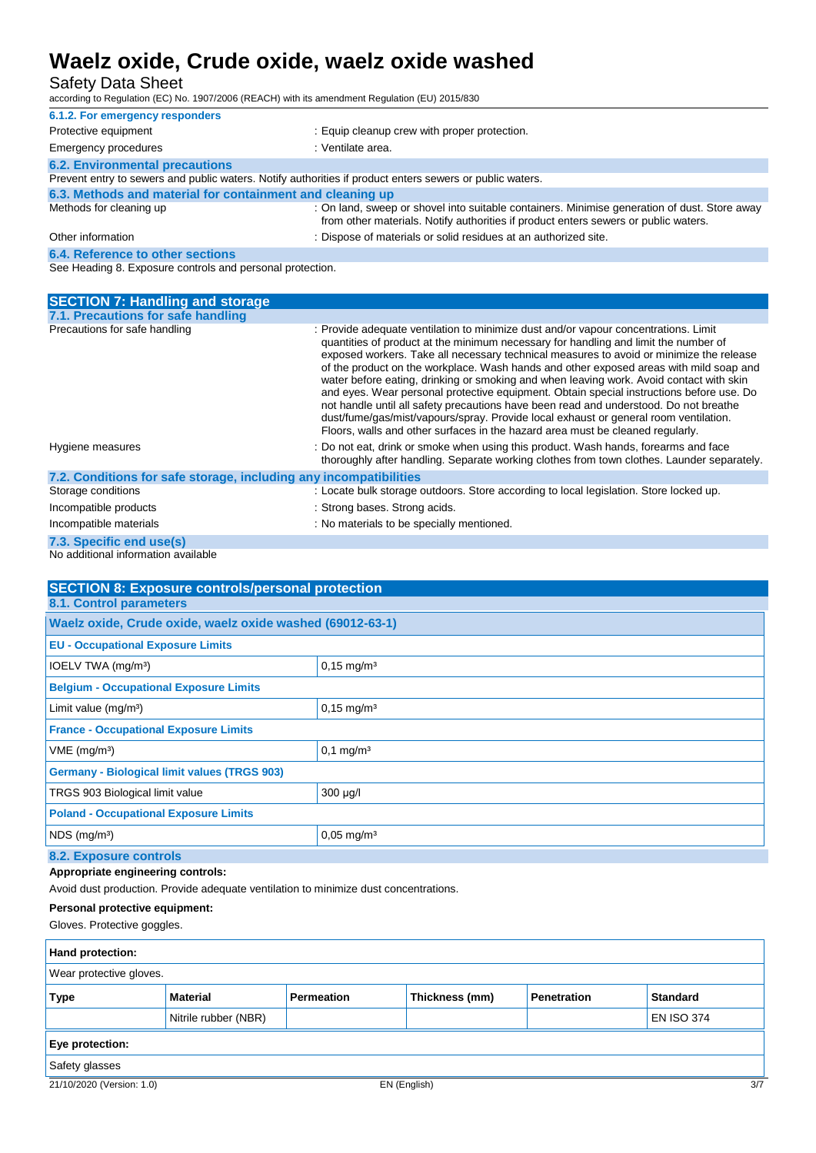## Safety Data Sheet

according to Regulation (EC) No. 1907/2006 (REACH) with its amendment Regulation (EU) 2015/830

| 6.1.2. For emergency responders                                                                          |                                                                                                                                                                                     |
|----------------------------------------------------------------------------------------------------------|-------------------------------------------------------------------------------------------------------------------------------------------------------------------------------------|
| Protective equipment                                                                                     | : Equip cleanup crew with proper protection.                                                                                                                                        |
| <b>Emergency procedures</b>                                                                              | : Ventilate area.                                                                                                                                                                   |
| <b>6.2. Environmental precautions</b>                                                                    |                                                                                                                                                                                     |
| Prevent entry to sewers and public waters. Notify authorities if product enters sewers or public waters. |                                                                                                                                                                                     |
| 6.3. Methods and material for containment and cleaning up                                                |                                                                                                                                                                                     |
| Methods for cleaning up                                                                                  | : On land, sweep or shovel into suitable containers. Minimise generation of dust. Store away<br>from other materials. Notify authorities if product enters sewers or public waters. |
| Other information                                                                                        | : Dispose of materials or solid residues at an authorized site.                                                                                                                     |
| 6.4. Reference to other sections                                                                         |                                                                                                                                                                                     |

See Heading 8. Exposure controls and personal protection.

| <b>SECTION 7: Handling and storage</b>                            |                                                                                                                                                                                                                                                                                                                                                                                                                                                                                                                                                                                                                                                                                                                                                                                                                           |
|-------------------------------------------------------------------|---------------------------------------------------------------------------------------------------------------------------------------------------------------------------------------------------------------------------------------------------------------------------------------------------------------------------------------------------------------------------------------------------------------------------------------------------------------------------------------------------------------------------------------------------------------------------------------------------------------------------------------------------------------------------------------------------------------------------------------------------------------------------------------------------------------------------|
| 7.1. Precautions for safe handling                                |                                                                                                                                                                                                                                                                                                                                                                                                                                                                                                                                                                                                                                                                                                                                                                                                                           |
| Precautions for safe handling                                     | : Provide adequate ventilation to minimize dust and/or vapour concentrations. Limit<br>quantities of product at the minimum necessary for handling and limit the number of<br>exposed workers. Take all necessary technical measures to avoid or minimize the release<br>of the product on the workplace. Wash hands and other exposed areas with mild soap and<br>water before eating, drinking or smoking and when leaving work. Avoid contact with skin<br>and eyes. Wear personal protective equipment. Obtain special instructions before use. Do<br>not handle until all safety precautions have been read and understood. Do not breathe<br>dust/fume/gas/mist/vapours/spray. Provide local exhaust or general room ventilation.<br>Floors, walls and other surfaces in the hazard area must be cleaned regularly. |
| Hygiene measures                                                  | : Do not eat, drink or smoke when using this product. Wash hands, forearms and face<br>thoroughly after handling. Separate working clothes from town clothes. Launder separately.                                                                                                                                                                                                                                                                                                                                                                                                                                                                                                                                                                                                                                         |
| 7.2. Conditions for safe storage, including any incompatibilities |                                                                                                                                                                                                                                                                                                                                                                                                                                                                                                                                                                                                                                                                                                                                                                                                                           |
| Storage conditions                                                | : Locate bulk storage outdoors. Store according to local legislation. Store locked up.                                                                                                                                                                                                                                                                                                                                                                                                                                                                                                                                                                                                                                                                                                                                    |
| Incompatible products                                             | : Strong bases. Strong acids.                                                                                                                                                                                                                                                                                                                                                                                                                                                                                                                                                                                                                                                                                                                                                                                             |
| Incompatible materials                                            | : No materials to be specially mentioned.                                                                                                                                                                                                                                                                                                                                                                                                                                                                                                                                                                                                                                                                                                                                                                                 |
| 7.3. Specific end use(s)                                          |                                                                                                                                                                                                                                                                                                                                                                                                                                                                                                                                                                                                                                                                                                                                                                                                                           |

No additional information available

| <b>SECTION 8: Exposure controls/personal protection</b>   |                          |  |  |
|-----------------------------------------------------------|--------------------------|--|--|
| 8.1. Control parameters                                   |                          |  |  |
| Waelz oxide, Crude oxide, waelz oxide washed (69012-63-1) |                          |  |  |
| <b>EU - Occupational Exposure Limits</b>                  |                          |  |  |
| IOELV TWA (mg/m <sup>3</sup> )                            | $0,15$ mg/m <sup>3</sup> |  |  |
| <b>Belgium - Occupational Exposure Limits</b>             |                          |  |  |
| $0,15 \text{ mg/m}^3$<br>Limit value $(mg/m3)$            |                          |  |  |
| <b>France - Occupational Exposure Limits</b>              |                          |  |  |
| $VME$ (mg/m <sup>3</sup> )                                | $0,1$ mg/m <sup>3</sup>  |  |  |
| <b>Germany - Biological limit values (TRGS 903)</b>       |                          |  |  |
| $300 \mu g/l$<br>TRGS 903 Biological limit value          |                          |  |  |
| <b>Poland - Occupational Exposure Limits</b>              |                          |  |  |
| $NDS$ (mg/m <sup>3</sup> )<br>$0,05 \,\mathrm{mg/m^3}$    |                          |  |  |
| 8.2. Exposure controls                                    |                          |  |  |

## **Appropriate engineering controls:**

Avoid dust production. Provide adequate ventilation to minimize dust concentrations.

## **Personal protective equipment:**

Gloves. Protective goggles.

| Hand protection:        |                      |            |                |                    |                   |
|-------------------------|----------------------|------------|----------------|--------------------|-------------------|
| Wear protective gloves. |                      |            |                |                    |                   |
| Type                    | <b>Material</b>      | Permeation | Thickness (mm) | <b>Penetration</b> | <b>Standard</b>   |
|                         | Nitrile rubber (NBR) |            |                |                    | <b>EN ISO 374</b> |
| <b>Eye protection:</b>  |                      |            |                |                    |                   |
| Safaty glaccac          |                      |            |                |                    |                   |

#### <sub>a</sub>rety glasses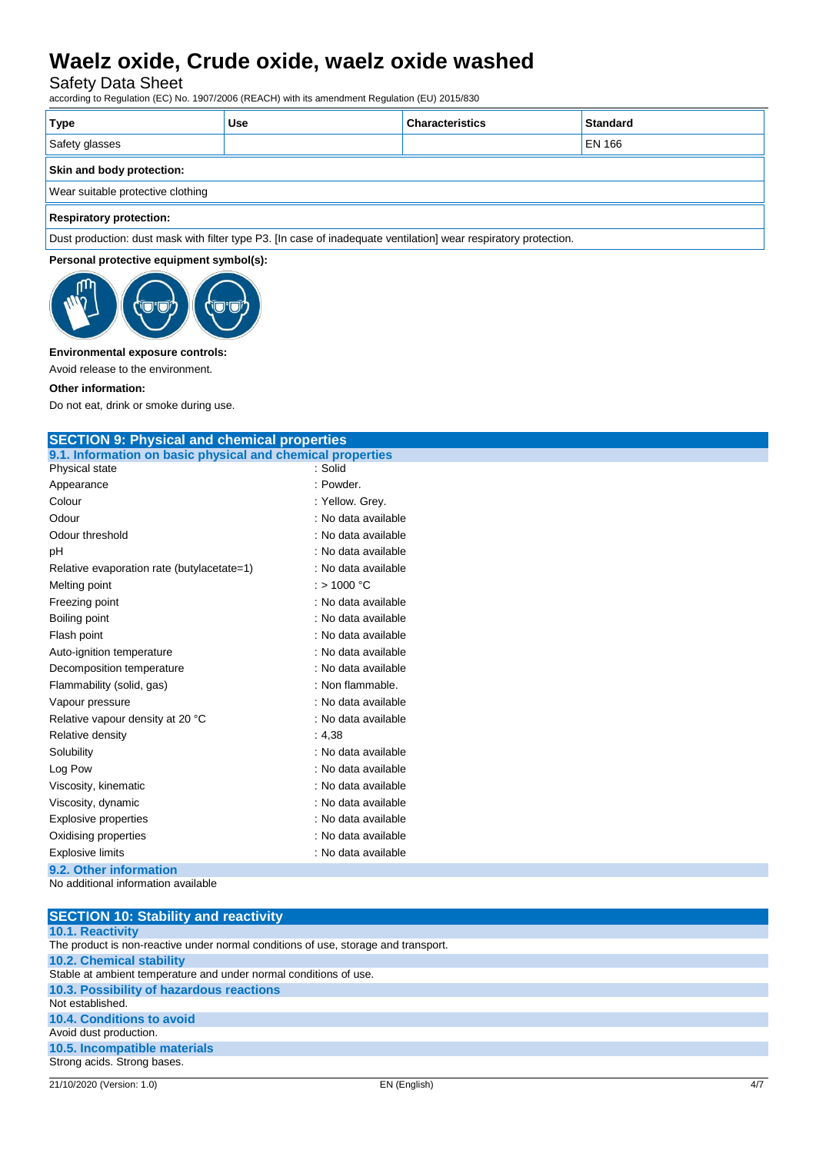Safety Data Sheet

according to Regulation (EC) No. 1907/2006 (REACH) with its amendment Regulation (EU) 2015/830

| Type                                                                                                             | Use | <b>Characteristics</b> | <b>Standard</b> |  |
|------------------------------------------------------------------------------------------------------------------|-----|------------------------|-----------------|--|
| Safety glasses                                                                                                   |     |                        | EN 166          |  |
| Skin and body protection:                                                                                        |     |                        |                 |  |
| Wear suitable protective clothing                                                                                |     |                        |                 |  |
| <b>Respiratory protection:</b>                                                                                   |     |                        |                 |  |
| Dust production: dust mask with filter type P3. [In case of inadequate ventilation] wear respiratory protection. |     |                        |                 |  |

### **Personal protective equipment symbol(s):**



### **Environmental exposure controls:**

Avoid release to the environment.

### **Other information:**

Do not eat, drink or smoke during use.

## **SECTION 9: Physical and chemical properties**

**9.1. Information on basic physical and chemical properties**

| Physical state                             | : Solid             |
|--------------------------------------------|---------------------|
| Appearance                                 | : Powder.           |
| Colour                                     | : Yellow. Grey.     |
| Odour                                      | : No data available |
| Odour threshold                            | : No data available |
| рH                                         | : No data available |
| Relative evaporation rate (butylacetate=1) | : No data available |
| Melting point                              | : $> 1000 °C$       |
| Freezing point                             | : No data available |
| Boiling point                              | : No data available |
| Flash point                                | : No data available |
| Auto-ignition temperature                  | : No data available |
| Decomposition temperature                  | : No data available |
| Flammability (solid, gas)                  | : Non flammable.    |
| Vapour pressure                            | : No data available |
| Relative vapour density at 20 °C           | : No data available |
| Relative density                           | : 4,38              |
| Solubility                                 | : No data available |
| Log Pow                                    | : No data available |
| Viscosity, kinematic                       | : No data available |
| Viscosity, dynamic                         | : No data available |
| Explosive properties                       | : No data available |
| Oxidising properties                       | : No data available |
| <b>Explosive limits</b>                    | : No data available |
| 9.2. Other information                     |                     |

## No additional information available

| <b>SECTION 10: Stability and reactivity</b>                                        |
|------------------------------------------------------------------------------------|
| <b>10.1. Reactivity</b>                                                            |
| The product is non-reactive under normal conditions of use, storage and transport. |
| <b>10.2. Chemical stability</b>                                                    |
| Stable at ambient temperature and under normal conditions of use.                  |
| 10.3. Possibility of hazardous reactions                                           |
| Not established.                                                                   |
| 10.4. Conditions to avoid                                                          |
| Avoid dust production.                                                             |
| 10.5. Incompatible materials                                                       |
| Strong acids. Strong bases.                                                        |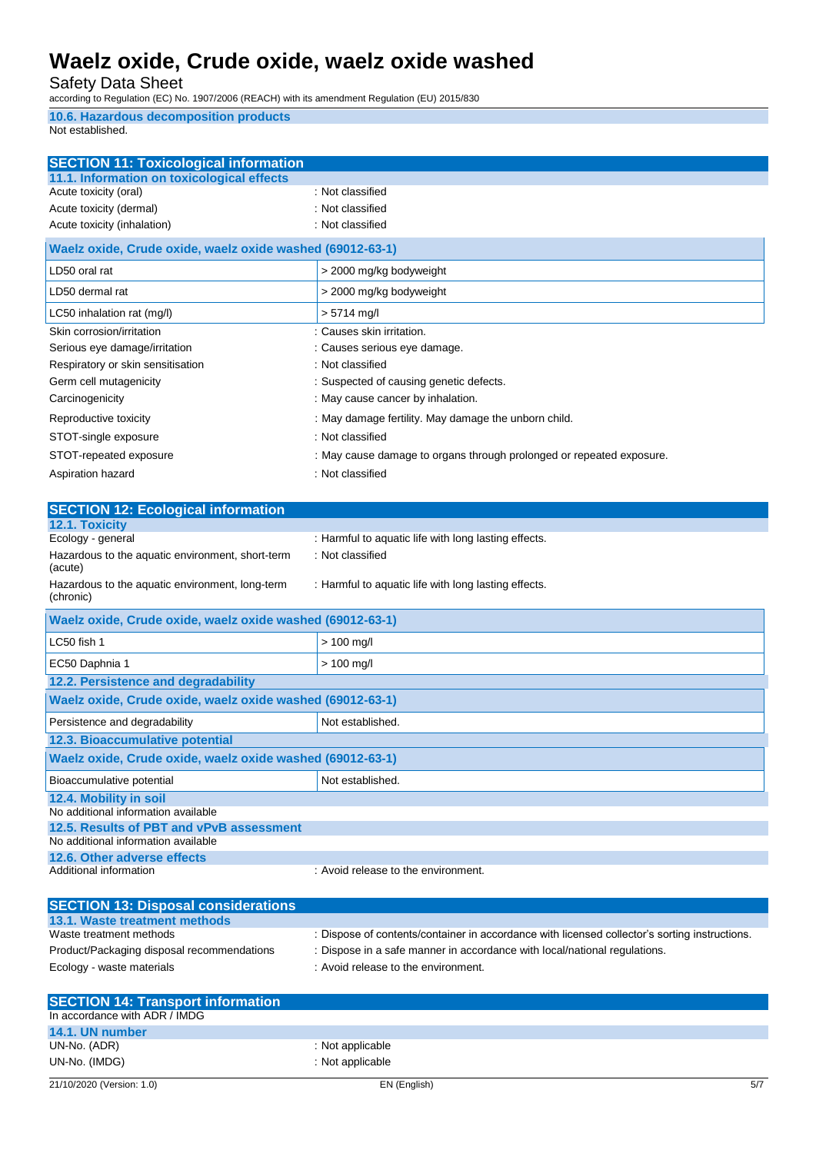Safety Data Sheet

according to Regulation (EC) No. 1907/2006 (REACH) with its amendment Regulation (EU) 2015/830

#### **10.6. Hazardous decomposition products** Not established.

| <b>SECTION 11: Toxicological information</b>              |                                                                      |
|-----------------------------------------------------------|----------------------------------------------------------------------|
| 11.1. Information on toxicological effects                |                                                                      |
| Acute toxicity (oral)                                     | : Not classified                                                     |
| Acute toxicity (dermal)                                   | : Not classified                                                     |
| Acute toxicity (inhalation)                               | : Not classified                                                     |
| Waelz oxide, Crude oxide, waelz oxide washed (69012-63-1) |                                                                      |
| LD50 oral rat                                             | > 2000 mg/kg bodyweight                                              |
| LD50 dermal rat                                           | > 2000 mg/kg bodyweight                                              |
| LC50 inhalation rat (mg/l)                                | $> 5714$ mg/l                                                        |
| Skin corrosion/irritation                                 | : Causes skin irritation.                                            |
| Serious eye damage/irritation                             | : Causes serious eye damage.                                         |
| Respiratory or skin sensitisation                         | : Not classified                                                     |
| Germ cell mutagenicity                                    | : Suspected of causing genetic defects.                              |
| Carcinogenicity                                           | : May cause cancer by inhalation.                                    |
| Reproductive toxicity                                     | : May damage fertility. May damage the unborn child.                 |
| STOT-single exposure                                      | : Not classified                                                     |
| STOT-repeated exposure                                    | : May cause damage to organs through prolonged or repeated exposure. |
| Aspiration hazard                                         | : Not classified                                                     |
|                                                           |                                                                      |

| <b>SECTION 12: Ecological information</b>                                       |                                                                                               |
|---------------------------------------------------------------------------------|-----------------------------------------------------------------------------------------------|
| 12.1. Toxicity                                                                  |                                                                                               |
| Ecology - general                                                               | : Harmful to aquatic life with long lasting effects.                                          |
| Hazardous to the aquatic environment, short-term<br>(acute)                     | : Not classified                                                                              |
| Hazardous to the aquatic environment, long-term<br>(chronic)                    | : Harmful to aquatic life with long lasting effects.                                          |
| Waelz oxide, Crude oxide, waelz oxide washed (69012-63-1)                       |                                                                                               |
| LC50 fish 1                                                                     | $> 100$ mg/l                                                                                  |
| EC50 Daphnia 1                                                                  | $> 100$ mg/l                                                                                  |
| 12.2. Persistence and degradability                                             |                                                                                               |
| Waelz oxide, Crude oxide, waelz oxide washed (69012-63-1)                       |                                                                                               |
| Persistence and degradability                                                   | Not established.                                                                              |
| 12.3. Bioaccumulative potential                                                 |                                                                                               |
| Waelz oxide, Crude oxide, waelz oxide washed (69012-63-1)                       |                                                                                               |
| Bioaccumulative potential                                                       | Not established.                                                                              |
| 12.4. Mobility in soil                                                          |                                                                                               |
| No additional information available                                             |                                                                                               |
| 12.5. Results of PBT and vPvB assessment<br>No additional information available |                                                                                               |
| 12.6. Other adverse effects                                                     |                                                                                               |
| Additional information                                                          | : Avoid release to the environment.                                                           |
|                                                                                 |                                                                                               |
| <b>SECTION 13: Disposal considerations</b>                                      |                                                                                               |
| 13.1. Waste treatment methods                                                   |                                                                                               |
| Waste treatment methods                                                         | : Dispose of contents/container in accordance with licensed collector's sorting instructions. |
| Product/Packaging disposal recommendations                                      | : Dispose in a safe manner in accordance with local/national regulations.                     |
| Ecology - waste materials                                                       | : Avoid release to the environment.                                                           |

| <b>SECTION 14: Transport information</b> |                  |     |
|------------------------------------------|------------------|-----|
| In accordance with ADR / IMDG            |                  |     |
| 14.1. UN number                          |                  |     |
| UN-No. (ADR)                             | : Not applicable |     |
| UN-No. (IMDG)                            | : Not applicable |     |
| 21/10/2020 (Version: 1.0)                | EN (English)     | 5/7 |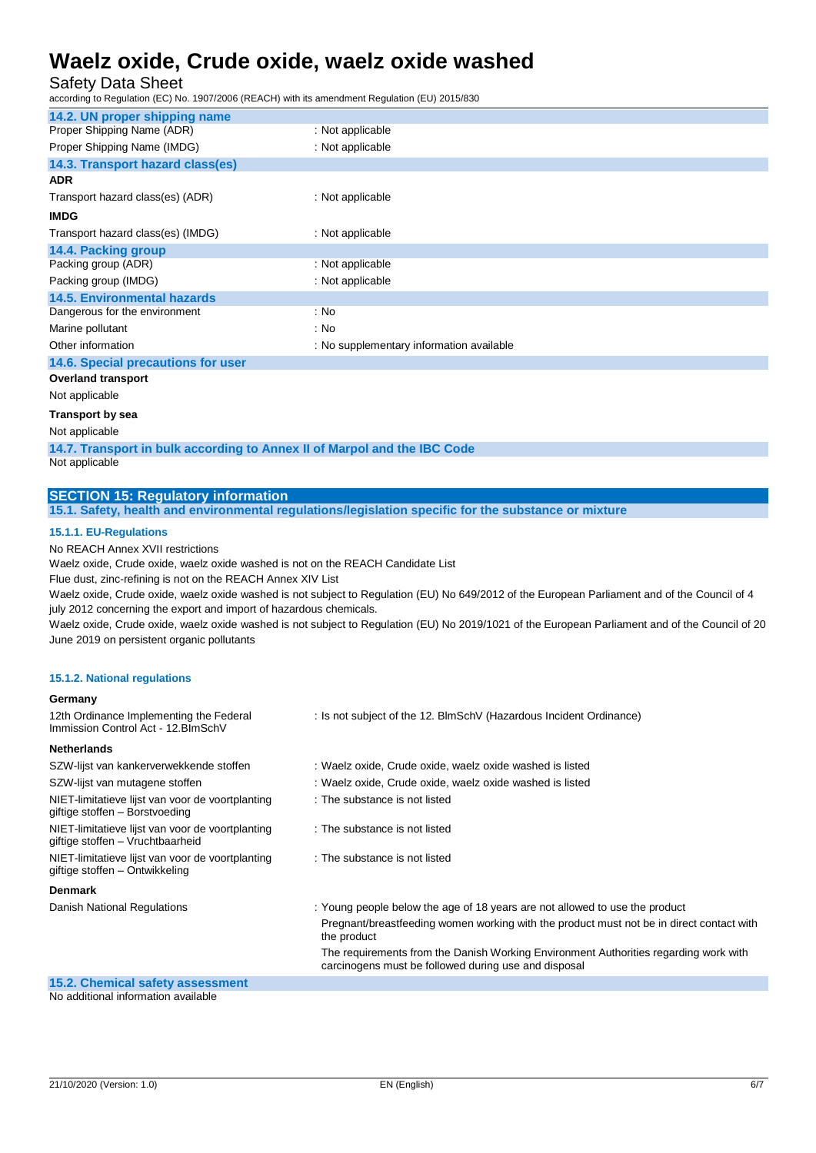## Safety Data Sheet

according to Regulation (EC) No. 1907/2006 (REACH) with its amendment Regulation (EU) 2015/830

| 14.2. UN proper shipping name      |                                          |
|------------------------------------|------------------------------------------|
| Proper Shipping Name (ADR)         | : Not applicable                         |
| Proper Shipping Name (IMDG)        | : Not applicable                         |
| 14.3. Transport hazard class(es)   |                                          |
| <b>ADR</b>                         |                                          |
| Transport hazard class(es) (ADR)   | : Not applicable                         |
| <b>IMDG</b>                        |                                          |
| Transport hazard class(es) (IMDG)  | : Not applicable                         |
| 14.4. Packing group                |                                          |
| Packing group (ADR)                | : Not applicable                         |
| Packing group (IMDG)               | : Not applicable                         |
| 14.5. Environmental hazards        |                                          |
| Dangerous for the environment      | : No                                     |
| Marine pollutant                   | : No                                     |
| Other information                  | : No supplementary information available |
| 14.6. Special precautions for user |                                          |
| <b>Overland transport</b>          |                                          |

Not applicable

#### **Transport by sea**

Not applicable

**14.7. Transport in bulk according to Annex II of Marpol and the IBC Code** Not applicable

### **SECTION 15: Regulatory information**

**15.1. Safety, health and environmental regulations/legislation specific for the substance or mixture**

### **15.1.1. EU-Regulations**

No REACH Annex XVII restrictions

Waelz oxide, Crude oxide, waelz oxide washed is not on the REACH Candidate List

Flue dust, zinc-refining is not on the REACH Annex XIV List

Waelz oxide, Crude oxide, waelz oxide washed is not subject to Regulation (EU) No 649/2012 of the European Parliament and of the Council of 4 july 2012 concerning the export and import of hazardous chemicals.

Waelz oxide, Crude oxide, waelz oxide washed is not subject to Regulation (EU) No 2019/1021 of the European Parliament and of the Council of 20 June 2019 on persistent organic pollutants

#### **15.1.2. National regulations**

### **Germany**

| <b>UUTHUIV</b>                                                                       |                                                                                                         |
|--------------------------------------------------------------------------------------|---------------------------------------------------------------------------------------------------------|
| 12th Ordinance Implementing the Federal<br>Immission Control Act - 12. BlmSchV       | : Is not subject of the 12. BlmSchV (Hazardous Incident Ordinance)                                      |
| <b>Netherlands</b>                                                                   |                                                                                                         |
| SZW-lijst van kankerverwekkende stoffen                                              | : Waelz oxide, Crude oxide, waelz oxide washed is listed                                                |
| SZW-lijst van mutagene stoffen                                                       | : Waelz oxide, Crude oxide, waelz oxide washed is listed                                                |
| NIET-limitatieve lijst van voor de voortplanting<br>giftige stoffen - Borstvoeding   | : The substance is not listed                                                                           |
| NIET-limitatieve lijst van voor de voortplanting<br>giftige stoffen - Vruchtbaarheid | : The substance is not listed                                                                           |
| NIET-limitatieve lijst van voor de voortplanting<br>giftige stoffen - Ontwikkeling   | : The substance is not listed                                                                           |
| <b>Denmark</b>                                                                       |                                                                                                         |
| Danish National Regulations                                                          | : Young people below the age of 18 years are not allowed to use the product                             |
|                                                                                      | Pregnant/breastfeeding women working with the product must not be in direct contact with<br>the product |

The requirements from the Danish Working Environment Authorities regarding work with carcinogens must be followed during use and disposal

**15.2. Chemical safety assessment**

No additional information available